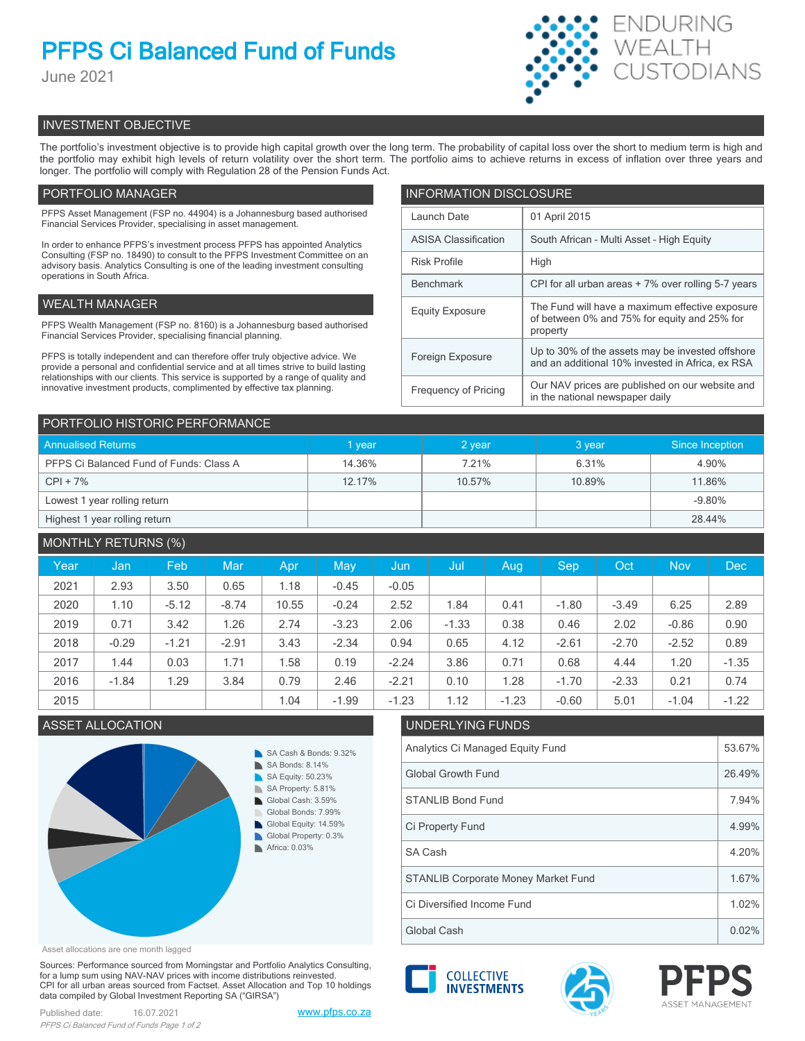# **PFPS Ci Balanced Fund of Funds**

June 2021



# INVESTMENT OBJECTIVE

The portfolio's investment objective is to provide high capital growth over the long term. The probability of capital loss over the short to medium term is high and the portfolio may exhibit high levels of return volatility over the short term. The portfolio aims to achieve returns in excess of inflation over three years and longer. The portfolio will comply with Regulation 28 of the Pension Funds Act.

# PORTFOLIO MANAGER

PFPS Asset Management (FSP no. 44904) is a Johannesburg based authorised Financial Services Provider, specialising in asset management.

In order to enhance PFPS's investment process PFPS has appointed Analytics Consulting (FSP no. 18490) to consult to the PFPS Investment Committee on an advisory basis. Analytics Consulting is one of the leading investment consulting operations in South Africa.

# WEALTH MANAGER

PFPS Wealth Management (FSP no. 8160) is a Johannesburg based authorised Financial Services Provider, specialising financial planning.

PFPS is totally independent and can therefore offer truly objective advice. We provide a personal and confidential service and at all times strive to build lasting relationships with our clients. This service is supported by a range of quality and innovative investment products, complimented by effective tax planning.

| <b>INFORMATION DISCLOSURE</b> |                                                                                                             |  |  |  |  |
|-------------------------------|-------------------------------------------------------------------------------------------------------------|--|--|--|--|
| Launch Date                   | 01 April 2015                                                                                               |  |  |  |  |
| <b>ASISA Classification</b>   | South African - Multi Asset - High Equity                                                                   |  |  |  |  |
| <b>Risk Profile</b>           | High                                                                                                        |  |  |  |  |
| <b>Benchmark</b>              | CPI for all urban areas + 7% over rolling 5-7 years                                                         |  |  |  |  |
| <b>Equity Exposure</b>        | The Fund will have a maximum effective exposure<br>of between 0% and 75% for equity and 25% for<br>property |  |  |  |  |
| Foreign Exposure              | Up to 30% of the assets may be invested offshore<br>and an additional 10% invested in Africa, ex RSA        |  |  |  |  |
| <b>Frequency of Pricing</b>   | Our NAV prices are published on our website and<br>in the national newspaper daily                          |  |  |  |  |

| PORTFOLIO HISTORIC PERFORMANCE          |        |        |        |                 |  |  |  |
|-----------------------------------------|--------|--------|--------|-----------------|--|--|--|
| <b>Annualised Returns</b>               | 1 year | 2 year | 3 year | Since Inception |  |  |  |
| PFPS Ci Balanced Fund of Funds: Class A | 14.36% | 7 21%  | 6.31%  | 4.90%           |  |  |  |
| $CPI + 7%$                              | 12.17% | 10.57% | 10.89% | 11.86%          |  |  |  |
| Lowest 1 year rolling return            |        |        |        | $-9.80%$        |  |  |  |
| Highest 1 year rolling return           |        |        |        | 28.44%          |  |  |  |

| <b>MONTHLY RETURNS (%)</b> |         |         |         |       |         |         |         |         |         |         |            |            |
|----------------------------|---------|---------|---------|-------|---------|---------|---------|---------|---------|---------|------------|------------|
| Year                       | Jan     | Feb     | Mar     | Apr   | May     | Jun     | Jul     | Aug.    | Sep.    | Oct     | <b>Nov</b> | <b>Dec</b> |
| 2021                       | 2.93    | 3.50    | 0.65    | 1.18  | $-0.45$ | $-0.05$ |         |         |         |         |            |            |
| 2020                       | 1.10    | $-5.12$ | $-8.74$ | 10.55 | $-0.24$ | 2.52    | 1.84    | 0.41    | $-1.80$ | $-3.49$ | 6.25       | 2.89       |
| 2019                       | 0.71    | 3.42    | 1.26    | 2.74  | $-3.23$ | 2.06    | $-1.33$ | 0.38    | 0.46    | 2.02    | $-0.86$    | 0.90       |
| 2018                       | $-0.29$ | $-1.21$ | $-2.91$ | 3.43  | $-2.34$ | 0.94    | 0.65    | 4.12    | $-2.61$ | $-2.70$ | $-2.52$    | 0.89       |
| 2017                       | 1.44    | 0.03    | 1.71    | 1.58  | 0.19    | $-2.24$ | 3.86    | 0.71    | 0.68    | 4.44    | 1.20       | $-1.35$    |
| 2016                       | $-1.84$ | 1.29    | 3.84    | 0.79  | 2.46    | $-2.21$ | 0.10    | 1.28    | $-1.70$ | $-2.33$ | 0.21       | 0.74       |
| 2015                       |         |         |         | 1.04  | $-1.99$ | $-1.23$ | 1.12    | $-1.23$ | $-0.60$ | 5.01    | $-1.04$    | $-1.22$    |

# ASSET ALLOCATION UNDERLYING FUNDS



Asset allocations are one month lagged

Sources: Performance sourced from Morningstar and Portfolio Analytics Consulting, for a lump sum using NAV-NAV prices with income distributions reinvested. CPI for all urban areas sourced from Factset. Asset Allocation and Top 10 holdings data compiled by Global Investment Reporting SA ("GIRSA")









Global Cash  $\vert$  0.02%